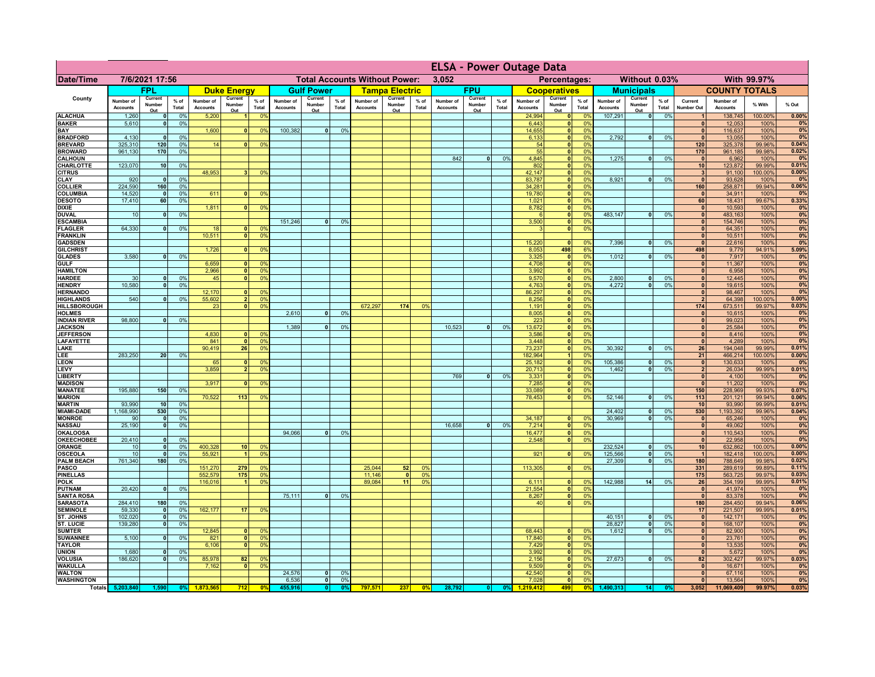|                                      |                              |                          |                 |                              |                                |                                  |                              |                                      |                |                              |                          |                 | <b>ELSA - Power Outage Data</b> |                          |                 |                              |                                                    |                      |                              |                          |                 |                              |                              |                    |                |
|--------------------------------------|------------------------------|--------------------------|-----------------|------------------------------|--------------------------------|----------------------------------|------------------------------|--------------------------------------|----------------|------------------------------|--------------------------|-----------------|---------------------------------|--------------------------|-----------------|------------------------------|----------------------------------------------------|----------------------|------------------------------|--------------------------|-----------------|------------------------------|------------------------------|--------------------|----------------|
| <b>Date/Time</b>                     |                              | 7/6/2021 17:56           |                 |                              |                                |                                  |                              | <b>Total Accounts Without Power:</b> |                |                              |                          |                 | 3.052                           |                          |                 |                              | Percentages:                                       |                      |                              | Without 0.03%            |                 |                              |                              | With 99.97%        |                |
|                                      |                              | FPL                      |                 |                              | <b>Duke Energy</b>             |                                  |                              | <b>Gulf Power</b>                    |                |                              | <b>Tampa Electric</b>    |                 |                                 | <b>FPU</b>               |                 |                              | <b>Cooperatives</b>                                |                      |                              | <b>Municipals</b>        |                 |                              | <b>COUNTY TOTALS</b>         |                    |                |
| County                               | Number of<br><b>Accounts</b> | Current<br>Number<br>Out | $%$ of<br>Total | Number of<br><b>Accounts</b> | Current<br>Number<br>Out       | $%$ of<br>Total                  | Number of<br><b>Accounts</b> | Current<br>Number<br>Out             | % of<br>Total  | Number of<br><b>Accounts</b> | Current<br>Number<br>Out | $%$ of<br>Total | Number of<br><b>Accounts</b>    | Current<br>Number<br>Out | $%$ of<br>Total | Number of<br><b>Accounts</b> | Current<br>Number<br>Out                           | $%$ of<br>Total      | Number of<br><b>Accounts</b> | Current<br>Number<br>Out | $%$ of<br>Total | Current<br><b>Number Out</b> | Number of<br><b>Accounts</b> | % With             | % Out          |
| <b>ALACHUA</b>                       | 1,260                        | 0                        | 0%              | 5,200                        | $\blacksquare$                 | 0 <sup>9</sup>                   |                              |                                      |                |                              |                          |                 |                                 |                          |                 | 24,994                       | 0                                                  | 0%                   | 107,291                      | $\overline{\bullet}$     | 0%              | $\overline{1}$               | 138,745                      | 100.00%            | 0.00%          |
| <b>BAKER</b><br><b>BAY</b>           | 5,610                        | 0                        | 0%              | 1,600                        | 0                              | 0 <sup>9</sup>                   | 100,382                      | $\overline{0}$                       | 0%             |                              |                          |                 |                                 |                          |                 | 6,443<br>14,655              | 0 <br> 0                                           | 0%<br>0%             |                              |                          |                 | $\mathbf{0}$<br> 0           | 12,053<br>116,637            | 100%<br>100%       | 0%<br>0%       |
| <b>BRADFORD</b>                      | 4,130                        | $\mathbf{0}$             | 0%              |                              |                                |                                  |                              |                                      |                |                              |                          |                 |                                 |                          |                 | 6,133                        | 0                                                  | 0%                   | 2,792                        | 0                        | 0%              | $\Omega$                     | 13,055                       | 100%               | 0%             |
| <b>BREVARD</b>                       | 325,310                      | 120                      | 0%              | 14                           | 0                              | 0 <sup>9</sup>                   |                              |                                      |                |                              |                          |                 |                                 |                          |                 | 54                           | 0                                                  | 0%                   |                              |                          |                 | 120                          | 325,378                      | 99.96%             | 0.04%<br>0.02% |
| <b>BROWARD</b><br><b>CALHOUN</b>     | 961,130                      | 170                      | 0%              |                              |                                |                                  |                              |                                      |                |                              |                          |                 | 842                             | 0                        | 0%              | 55<br>4,845                  | 0 <br> 0                                           | 0%<br>0%             | 1,275                        | 0                        | 0%              | 170<br>$\mathbf{0}$          | 961,185<br>6,962             | 99.98%<br>100%     | 0%             |
| <b>CHARLOTTE</b>                     | 123,070                      | 10                       | 0%              |                              |                                |                                  |                              |                                      |                |                              |                          |                 |                                 |                          |                 | 802                          | 0                                                  | 0%                   |                              |                          |                 | 10                           | 123,872                      | 99.99%             | 0.01%          |
| <b>CITRUS</b><br>CLAY                | 920                          | $\mathbf{0}$             | 0%              | 48,953                       | 3 <sup>1</sup>                 | 0 <sup>9</sup>                   |                              |                                      |                |                              |                          |                 |                                 |                          |                 | 42,147<br>83,787             | 0 <br> 0                                           | 0%<br>0%             | 8,921                        | 0                        | 0%              | $\mathbf{3}$<br>$\mathbf{0}$ | 91,100<br>93,628             | 100.00%<br>100%    | 0.00%<br>0%    |
| <b>COLLIER</b>                       | 224,590                      | 160                      | 0%              |                              |                                |                                  |                              |                                      |                |                              |                          |                 |                                 |                          |                 | 34,281                       | 0                                                  | 0%                   |                              |                          |                 | 160                          | 258,871                      | 99.94%             | 0.06%          |
| <b>COLUMBIA</b>                      | 14,520                       | $\Omega$                 | 0%              | 611                          |                                | 0 <sup>9</sup>                   |                              |                                      |                |                              |                          |                 |                                 |                          |                 | 19,780                       | $\mathbf{0}$                                       | 0%                   |                              |                          |                 |                              | 34,911                       | 100%               | 0%             |
| <b>DESOTO</b><br><b>DIXIE</b>        | 17,410                       | 60                       | 0%              | 1,811                        | $\mathbf{0}$                   | 0 <sup>9</sup>                   |                              |                                      |                |                              |                          |                 |                                 |                          |                 | 1,021<br>8,782               | 0 <br> 0                                           | 0%<br>0%             |                              |                          |                 | 60<br>$\mathbf{0}$           | 18,431<br>10,593             | 99.67%<br>100%     | 0.33%<br>0%    |
| <b>DUVAL</b>                         | 10                           | $\mathbf 0$              | 0%              |                              |                                |                                  |                              |                                      |                |                              |                          |                 |                                 |                          |                 |                              | 0                                                  | 0%                   | 483,147                      | 0                        | 0%              | $\mathbf{0}$                 | 483,163                      | 100%               | 0%             |
| <b>ESCAMBIA</b>                      |                              |                          |                 |                              |                                |                                  | 151,246                      | 0                                    | 0 <sup>9</sup> |                              |                          |                 |                                 |                          |                 | 3,500                        | 0                                                  | 0%                   |                              |                          |                 | $\mathbf{0}$                 | 154,746                      | 100%               | 0%             |
| <b>FLAGLER</b><br><b>FRANKLIN</b>    | 64,330                       | 0                        | 0%              | 18<br>10,511                 | $\mathbf{0}$<br>$\overline{0}$ | 0 <sup>9</sup><br>0 <sup>9</sup> |                              |                                      |                |                              |                          |                 |                                 |                          |                 |                              | 0                                                  | 0%                   |                              |                          |                 | $\mathbf{0}$<br> 0           | 64,351<br>10,511             | 100%<br>100%       | 0%<br>0%       |
| <b>GADSDEN</b>                       |                              |                          |                 |                              |                                |                                  |                              |                                      |                |                              |                          |                 |                                 |                          |                 | 15,220                       | 0                                                  | 0%                   | 7,396                        | -ol                      | 0%              | 0                            | 22,616                       | 100%               | 0%             |
| <b>GILCHRIST</b>                     |                              |                          |                 | 1.726                        | 0                              | 0 <sup>9</sup>                   |                              |                                      |                |                              |                          |                 |                                 |                          |                 | 8,053                        | 498                                                | 6%                   |                              |                          |                 | 498                          | 9,779                        | 94.91%             | 5.09%          |
| <b>GLADES</b><br><b>GULF</b>         | 3,580                        | 0                        | 0%              | 6,659                        | 0                              | 0 <sup>9</sup>                   |                              |                                      |                |                              |                          |                 |                                 |                          |                 | 3,325<br>4,708               | 0 <br> 0                                           | 0%<br>0%             | 1,012                        | $\overline{0}$           | 0%              | 0 <br> 0                     | 7,917<br>11,367              | 100%<br>100%       | 0%<br>0%       |
| <b>HAMILTON</b>                      |                              |                          |                 | 2.966                        | $\overline{0}$                 | 0 <sup>9</sup>                   |                              |                                      |                |                              |                          |                 |                                 |                          |                 | 3,992                        | 0                                                  | 0%                   |                              |                          |                 | 0                            | 6,958                        | 100%               | 0%             |
| <b>HARDEE</b>                        | 30                           | 0                        | 0%              | 45                           |                                | $\overline{0}$<br>0 <sup>9</sup> |                              |                                      |                |                              |                          |                 |                                 |                          |                 | 9,570                        | 0                                                  | 0%                   | 2,800                        | $\mathbf{0}$             | 0%              | 0                            | 12,445                       | 100%               | 0%             |
| <b>HENDRY</b><br><b>HERNANDO</b>     | 10,580                       | $\mathbf{0}$             | 0 <sup>9</sup>  | 12,170                       | 0                              | 0 <sup>9</sup>                   |                              |                                      |                |                              |                          |                 |                                 |                          |                 | 4,763<br>86,297              | $\overline{\mathbf{0}}$<br>$\overline{\mathbf{0}}$ | 0%<br>0%             | 4.272                        | $\overline{0}$           | 0%              | 0 <br> 0                     | 19,615<br>98,467             | 100%<br>100%       | 0%<br>0%       |
| <b>HIGHLANDS</b>                     | 540                          | $\mathbf{0}$             | 0 <sup>9</sup>  | 55,602                       |                                | 2 <sup>1</sup><br>0 <sup>9</sup> |                              |                                      |                |                              |                          |                 |                                 |                          |                 | 8,256                        | $\overline{\mathbf{0}}$                            | 0%                   |                              |                          |                 | $\overline{2}$               | 64,398                       | 100.00%            | 0.00%          |
| <b>HILLSBOROUGH</b>                  |                              |                          |                 | 23                           |                                | 0 <sup>1</sup><br>0 <sup>9</sup> |                              |                                      |                | 672,297                      | 174                      | 0%              |                                 |                          |                 | 1,191                        | 0                                                  | 0%                   |                              |                          |                 | 174                          | 673,511                      | 99.97%             | 0.03%          |
| <b>HOLMES</b><br><b>INDIAN RIVER</b> | 98,800                       | 0                        | 0%              |                              |                                |                                  | 2,610                        | $\mathbf{a}$                         | 0 <sup>9</sup> |                              |                          |                 |                                 |                          |                 | 8,005<br>223                 | $\overline{\mathbf{0}}$<br> 0                      | 0%<br>0%             |                              |                          |                 | $\mathbf{0}$<br> 0           | 10,615<br>99,023             | 100%<br>100%       | 0%<br>0%       |
| <b>JACKSON</b>                       |                              |                          |                 |                              |                                |                                  | 1,389                        | n l                                  | 0 <sup>9</sup> |                              |                          |                 | 10,523                          | $\Omega$                 | 0%              | 13,672                       | 0                                                  | 0%                   |                              |                          |                 | 0                            | 25,584                       | 100%               | 0%             |
| <b>JEFFERSON</b>                     |                              |                          |                 | 4,830                        | $\Omega$                       | 0 <sup>9</sup>                   |                              |                                      |                |                              |                          |                 |                                 |                          |                 | 3,586                        | 0                                                  | 0%                   |                              |                          |                 | 0                            | 8,416                        | 100%               | 0%             |
| <b>LAFAYETTE</b><br>LAKE             |                              |                          |                 | 841<br>90,419                | $\Omega$<br>26                 | 0 <sup>9</sup><br>0 <sup>9</sup> |                              |                                      |                |                              |                          |                 |                                 |                          |                 | 3,448<br>73,237              | 0 <br> 0                                           | 0%<br>0%             | 30,392                       | $\mathbf{0}$             | 0%              | 0 <br>26                     | 4,289<br>194,048             | 100%<br>99.99%     | 0%<br>0.01%    |
| LEE                                  | 283,250                      | 20 <sup>1</sup>          | 0%              |                              |                                |                                  |                              |                                      |                |                              |                          |                 |                                 |                          |                 | 182,964                      |                                                    | 1<br>0%              |                              |                          |                 | 21                           | 466,214                      | 100.00%            | 0.00%          |
| <b>LEON</b>                          |                              |                          |                 | 65                           | $\Omega$                       | $^{\circ}$                       |                              |                                      |                |                              |                          |                 |                                 |                          |                 | 25,182                       | 0                                                  | 0%                   | 105,386                      | $\mathbf{0}$             | 0%              | 0                            | 130,633                      | 100%               | 0%             |
| LEVY<br>LIBERTY                      |                              |                          |                 | 3,859                        | $\overline{2}$                 | 0 <sup>9</sup>                   |                              |                                      |                |                              |                          |                 | 769                             | $\mathbf{0}$             | 0%              | 20,713<br>3,331              | 0                                                  | 0 <br>0%<br>0%       | 1,462                        | - O I                    | 0%              | 2 <br> 0                     | 26,034<br>4,100              | 99.99%<br>100%     | 0.01%<br>0%    |
| <b>MADISON</b>                       |                              |                          |                 | 3,917                        | $\mathbf{0}$                   | 0 <sup>9</sup>                   |                              |                                      |                |                              |                          |                 |                                 |                          |                 | 7,285                        | 0                                                  | 0%                   |                              |                          |                 | 0                            | 11,202                       | 100%               | 0%             |
| <b>MANATEE</b><br><b>MARION</b>      | 195,880                      | 150                      | 0%              | 70,522                       | 113                            |                                  |                              |                                      |                |                              |                          |                 |                                 |                          |                 | 33,089<br>78,453             | 0 <br> 0                                           | 0%<br>0%             | 52,146                       | ol                       |                 | 150<br>113                   | 228,969                      | 99.93%             | 0.07%<br>0.06% |
| <b>MARTIN</b>                        | 93,990                       | 10                       | 0%              |                              |                                | 0 <sup>9</sup>                   |                              |                                      |                |                              |                          |                 |                                 |                          |                 |                              |                                                    |                      |                              |                          | 0%              | 10                           | 201,121<br>93,990            | 99.94%<br>99.99%   | 0.01%          |
| <b>MIAMI-DADE</b>                    | 1,168,990                    | 530                      | 0%              |                              |                                |                                  |                              |                                      |                |                              |                          |                 |                                 |                          |                 |                              |                                                    |                      | 24,402                       | $\overline{\mathbf{0}}$  | 0%              | 530                          | 1,193,392                    | 99.96%             | 0.04%          |
| <b>MONROE</b>                        | 90<br>25,190                 | 0                        | 0%<br>0%        |                              |                                |                                  |                              |                                      |                |                              |                          |                 | 16,658                          |                          | 0%              | 34,187<br>7,214              | 0                                                  | $\Omega$ %<br>0%     | 30.969                       | - O I                    | 0%              | 0                            | 65,246<br>49,062             | 100%<br>100%       | 0%<br>0%       |
| <b>NASSAU</b><br><b>OKALOOSA</b>     |                              | 0                        |                 |                              |                                |                                  | 94,066                       | 0                                    | 0%             |                              |                          |                 |                                 | 0                        |                 | 16,477                       | 0 <br> 0                                           | 0%                   |                              |                          |                 | 0 <br> 0                     | 110,543                      | 100%               | 0%             |
| <b>OKEECHOBEE</b>                    | 20,410                       | 0                        | 0%              |                              |                                |                                  |                              |                                      |                |                              |                          |                 |                                 |                          |                 | 2,548                        |                                                    | 0%<br> 0             |                              |                          |                 | 0                            | 22,958                       | 100%               | 0%             |
| ORANGE<br>OSCEOLA                    | 10<br>10                     | 0 <br> 0                 | 0%<br>0%        | 400,328<br>55,92'            | 10 <sup>1</sup><br>$\vert$ 1   | 0 <sup>9</sup><br>0 <sup>9</sup> |                              |                                      |                |                              |                          |                 |                                 |                          |                 | 921                          |                                                    | 0 <br>0%             | 232,524<br>125,566           | 0 <br> 0                 | 0%<br>0%        | 10<br>$\vert$ 1              | 632,862<br>182,418           | 100.00%<br>100.00% | 0.00%<br>0.00% |
| <b>PALM BEACH</b>                    | 761,340                      | 180                      | 0%              |                              |                                |                                  |                              |                                      |                |                              |                          |                 |                                 |                          |                 |                              |                                                    |                      | 27,309                       | $\lceil 0 \rceil$        | 0%              | 180                          | 788,649                      | 99.98%             | 0.02%          |
| <b>PASCO</b>                         |                              |                          |                 | 151,270                      | 279                            | 0 <sup>9</sup>                   |                              |                                      |                | 25,044                       | 52                       | 0 <sup>9</sup>  |                                 |                          |                 | 113,305                      |                                                    | 0 <br>0%             |                              |                          |                 | 331                          | 289,619                      | 99.89%             | 0.11%          |
| <b>PINELLAS</b><br><b>POLK</b>       |                              |                          |                 | 552,579<br>116,016           | 175<br>-1                      | 0 <sup>9</sup><br>0 <sup>9</sup> |                              |                                      |                | 11,146<br>89,084             | $\Omega$<br>11           | 0%<br>0%        |                                 |                          |                 |                              |                                                    | nº                   | 142,988                      | 14                       | 0%              | 175<br>26                    | 563,725                      | 99.97%<br>99.99%   | 0.03%<br>0.01% |
| PUTNAM                               | 20,420                       | 0                        | 0%              |                              |                                |                                  |                              |                                      |                |                              |                          |                 |                                 |                          |                 | 6,111<br>21,554              | 0 <br> 0                                           | 0%                   |                              |                          |                 | 0                            | 354,199<br>41,974            | 100%               | 0%             |
| <b>SANTA ROSA</b>                    |                              |                          |                 |                              |                                |                                  | 75,111                       | 0                                    | 0%             |                              |                          |                 |                                 |                          |                 | 8,267                        | 0                                                  | 0%                   |                              |                          |                 | 0                            | 83,378                       | 100%               | 0%             |
| <b>SARASOTA</b><br><b>SEMINOLE</b>   | 284,410<br>59,330            | 180<br> 0                | 0%<br>0%        | 162,177                      | 17                             | 0 <sup>9</sup>                   |                              |                                      |                |                              |                          |                 |                                 |                          |                 | 40                           |                                                    | 0 <br>0%             |                              |                          |                 | 180<br>17                    | 284,450                      | 99.94%<br>99.99%   | 0.06%<br>0.01% |
| ST. JOHNS                            | 102,020                      | 0                        | 0%              |                              |                                |                                  |                              |                                      |                |                              |                          |                 |                                 |                          |                 |                              |                                                    |                      | 40,151                       | 0                        | 0%              | 0                            | 221,507<br>142,171           | 100%               | 0%             |
| <b>ST. LUCIE</b>                     | 139,280                      | 0                        | 0%              |                              |                                |                                  |                              |                                      |                |                              |                          |                 |                                 |                          |                 |                              |                                                    |                      | 28,827                       | 0                        | 0%              | 0                            | 168,107                      | 100%               | 0%             |
| <b>SUMTER</b><br><b>SUWANNEE</b>     | 5,100                        | $\overline{0}$           | 0%              | 12,845<br>821                | $\mathbf{0}$                   | $\Omega$<br>0 <sup>9</sup>       |                              |                                      |                |                              |                          |                 |                                 |                          |                 | 68,443<br>17,840             | 0 <br> 0                                           | 0 <sup>9</sup><br>0% | 1,612                        | -ol                      | 0%              | 0 <br> 0                     | 82,900<br>23,761             | 100%<br>100%       | 0%<br>0%       |
| <b>TAYLOR</b>                        |                              |                          |                 | 6,106                        | $\mathbf{0}$                   | 0 <sup>9</sup>                   |                              |                                      |                |                              |                          |                 |                                 |                          |                 | 7,429                        | 0                                                  | 0%                   |                              |                          |                 | $\mathbf{0}$                 | 13,535                       | 100%               | 0%             |
| <b>UNION</b>                         | 1,680                        | 0                        | 0 <sup>9</sup>  |                              |                                |                                  |                              |                                      |                |                              |                          |                 |                                 |                          |                 | 3,992                        | 0                                                  | 0%                   |                              |                          |                 | $\mathbf{0}$                 | 5,672                        | 100%               | 0%             |
| <b>VOLUSIA</b><br><b>WAKULLA</b>     | 186,620                      | 0                        | 0%              | 85,978<br>7,162              | 82<br>$\mathbf{0}$             | 0 <sup>9</sup><br>0 <sup>9</sup> |                              |                                      |                |                              |                          |                 |                                 |                          |                 | 2,156<br>9,509               | 0 <br> 0                                           | 0%<br>0%             | 27,673                       | 0                        | 0%              | 82<br>$\mathbf{0}$           | 302,427<br>16,671            | 99.97%<br>100%     | 0.03%<br>0%    |
| <b>WALTON</b>                        |                              |                          |                 |                              |                                |                                  | 24,576                       | 0                                    | 0 <sup>9</sup> |                              |                          |                 |                                 |                          |                 | 42,540                       | 0                                                  | 0%                   |                              |                          |                 | 0                            | 67,116                       | 100%               | 0%             |
| <b>WASHINGTON</b>                    |                              |                          |                 |                              |                                |                                  | 6,536                        | $\overline{\mathbf{0}}$              | 0%             |                              |                          |                 |                                 |                          |                 | 7,028                        | $\overline{\bullet}$                               | 0%                   |                              |                          |                 | 0                            | 13,564                       | 100%               | 0%             |
|                                      | Totals 5,203,840             | 1,590                    | 0 <sup>9</sup>  | 1.873.565                    | 712                            | 0 <sup>0</sup>                   | 455.916                      | 0                                    | 0 <sup>9</sup> | 797,571                      | 237                      | 0%              | 28,792                          | 0                        | 0%              | 1.219.412                    | 499                                                | 0%                   | 1,490,313                    | 14                       | 0%              | 3,052                        | 11,069,409                   | 99.97%             | 0.03%          |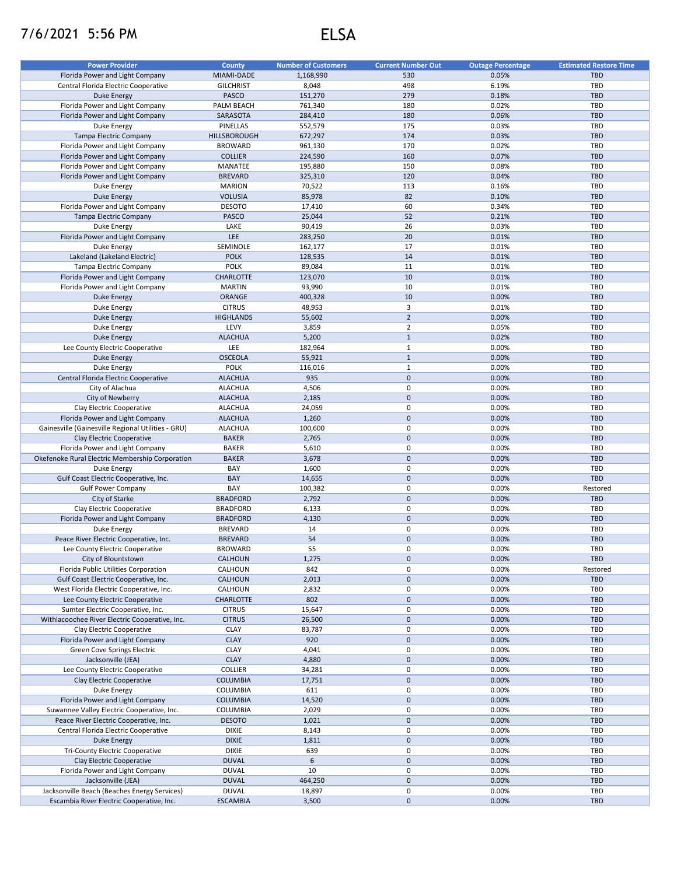## 7/6/2021 5:56 PM ELSA

| <b>Power Provider</b>                              | <b>County</b>    | <b>Number of Customers</b> | <b>Current Number Out</b> | <b>Outage Percentage</b> | <b>Estimated Restore Time</b> |
|----------------------------------------------------|------------------|----------------------------|---------------------------|--------------------------|-------------------------------|
| Florida Power and Light Company                    | MIAMI-DADE       | 1,168,990                  | 530                       | 0.05%                    | <b>TBD</b>                    |
| Central Florida Electric Cooperative               | <b>GILCHRIST</b> | 8,048                      | 498                       | 6.19%                    | TBD                           |
|                                                    |                  |                            |                           |                          |                               |
| <b>Duke Energy</b>                                 | <b>PASCO</b>     | 151,270                    | 279                       | 0.18%                    | <b>TBD</b>                    |
| Florida Power and Light Company                    | PALM BEACH       | 761,340                    | 180                       | 0.02%                    | TBD                           |
| Florida Power and Light Company                    | SARASOTA         | 284,410                    | 180                       | 0.06%                    | <b>TBD</b>                    |
| Duke Energy                                        | <b>PINELLAS</b>  | 552,579                    | 175                       | 0.03%                    | TBD                           |
| Tampa Electric Company                             | HILLSBOROUGH     | 672,297                    | 174                       | 0.03%                    | <b>TBD</b>                    |
| Florida Power and Light Company                    | <b>BROWARD</b>   | 961,130                    | 170                       | 0.02%                    | TBD                           |
| Florida Power and Light Company                    | <b>COLLIER</b>   | 224,590                    | 160                       | 0.07%                    | <b>TBD</b>                    |
| Florida Power and Light Company                    | MANATEE          | 195,880                    | 150                       | 0.08%                    | TBD                           |
| Florida Power and Light Company                    | <b>BREVARD</b>   | 325,310                    | 120                       | 0.04%                    | <b>TBD</b>                    |
| Duke Energy                                        | <b>MARION</b>    | 70,522                     | 113                       | 0.16%                    | TBD                           |
| <b>Duke Energy</b>                                 | <b>VOLUSIA</b>   |                            | 82                        | 0.10%                    | <b>TBD</b>                    |
|                                                    |                  | 85,978                     |                           |                          |                               |
| Florida Power and Light Company                    | <b>DESOTO</b>    | 17,410                     | 60                        | 0.34%                    | TBD                           |
| <b>Tampa Electric Company</b>                      | PASCO            | 25,044                     | 52                        | 0.21%                    | <b>TBD</b>                    |
| Duke Energy                                        | LAKE             | 90,419                     | 26                        | 0.03%                    | TBD                           |
| Florida Power and Light Company                    | <b>LEE</b>       | 283,250                    | 20                        | 0.01%                    | <b>TBD</b>                    |
| Duke Energy                                        | SEMINOLE         | 162,177                    | 17                        | 0.01%                    | TBD                           |
| Lakeland (Lakeland Electric)                       | <b>POLK</b>      | 128,535                    | 14                        | 0.01%                    | <b>TBD</b>                    |
| Tampa Electric Company                             | <b>POLK</b>      | 89,084                     | 11                        | 0.01%                    | TBD                           |
| Florida Power and Light Company                    | CHARLOTTE        | 123,070                    | 10                        | 0.01%                    | <b>TBD</b>                    |
| Florida Power and Light Company                    | <b>MARTIN</b>    | 93,990                     | 10                        | 0.01%                    | TBD                           |
| <b>Duke Energy</b>                                 | ORANGE           |                            | 10                        | 0.00%                    | <b>TBD</b>                    |
|                                                    |                  | 400,328                    |                           |                          |                               |
| Duke Energy                                        | <b>CITRUS</b>    | 48,953                     | 3                         | 0.01%                    | TBD                           |
| <b>Duke Energy</b>                                 | <b>HIGHLANDS</b> | 55,602                     | $\overline{2}$            | 0.00%                    | <b>TBD</b>                    |
| Duke Energy                                        | LEVY             | 3,859                      | $\overline{2}$            | 0.05%                    | TBD                           |
| <b>Duke Energy</b>                                 | <b>ALACHUA</b>   | 5,200                      | $\mathbf{1}$              | 0.02%                    | <b>TBD</b>                    |
| Lee County Electric Cooperative                    | LEE              | 182,964                    | $\mathbf{1}$              | 0.00%                    | TBD                           |
| <b>Duke Energy</b>                                 | <b>OSCEOLA</b>   | 55,921                     | $\mathbf{1}$              | 0.00%                    | <b>TBD</b>                    |
| Duke Energy                                        | <b>POLK</b>      | 116,016                    | $\mathbf{1}$              | 0.00%                    | TBD                           |
| Central Florida Electric Cooperative               | <b>ALACHUA</b>   | 935                        | $\pmb{0}$                 | 0.00%                    | <b>TBD</b>                    |
| City of Alachua                                    | <b>ALACHUA</b>   | 4,506                      | 0                         | 0.00%                    | TBD                           |
| City of Newberry                                   |                  |                            | $\pmb{0}$                 |                          | <b>TBD</b>                    |
|                                                    | <b>ALACHUA</b>   | 2,185                      |                           | 0.00%                    |                               |
| Clay Electric Cooperative                          | <b>ALACHUA</b>   | 24,059                     | 0                         | 0.00%                    | <b>TBD</b>                    |
| Florida Power and Light Company                    | <b>ALACHUA</b>   | 1,260                      | $\mathbf 0$               | 0.00%                    | <b>TBD</b>                    |
| Gainesville (Gainesville Regional Utilities - GRU) | <b>ALACHUA</b>   | 100,600                    | 0                         | 0.00%                    | TBD                           |
| Clay Electric Cooperative                          | <b>BAKER</b>     | 2,765                      | $\pmb{0}$                 | 0.00%                    | <b>TBD</b>                    |
| Florida Power and Light Company                    | <b>BAKER</b>     | 5,610                      | 0                         | 0.00%                    | TBD                           |
| Okefenoke Rural Electric Membership Corporation    | <b>BAKER</b>     | 3,678                      | $\mathbf 0$               | 0.00%                    | <b>TBD</b>                    |
| Duke Energy                                        | BAY              | 1,600                      | 0                         | 0.00%                    | TBD                           |
| Gulf Coast Electric Cooperative, Inc.              | <b>BAY</b>       | 14,655                     | $\mathbf 0$               | 0.00%                    | <b>TBD</b>                    |
| <b>Gulf Power Company</b>                          | BAY              | 100,382                    | 0                         | 0.00%                    | Restored                      |
| City of Starke                                     | <b>BRADFORD</b>  | 2,792                      | $\mathsf{O}\xspace$       | 0.00%                    | <b>TBD</b>                    |
|                                                    | <b>BRADFORD</b>  |                            | 0                         | 0.00%                    | TBD                           |
| Clay Electric Cooperative                          |                  | 6,133                      |                           |                          |                               |
| Florida Power and Light Company                    | <b>BRADFORD</b>  | 4,130                      | $\mathbf 0$               | 0.00%                    | <b>TBD</b>                    |
| Duke Energy                                        | <b>BREVARD</b>   | 14                         | 0                         | 0.00%                    | TBD                           |
| Peace River Electric Cooperative, Inc.             | <b>BREVARD</b>   | 54                         | $\mathbf 0$               | 0.00%                    | <b>TBD</b>                    |
| Lee County Electric Cooperative                    | <b>BROWARD</b>   | 55                         | $\pmb{0}$                 | 0.00%                    | TBD                           |
| City of Blountstown                                | CALHOUN          | 1,275                      | $\mathbf 0$               | 0.00%                    | TBD                           |
| Florida Public Utilities Corporation               | CALHOUN          | 842                        | 0                         | 0.00%                    | Restored                      |
| Gulf Coast Electric Cooperative, Inc.              | CALHOUN          | 2,013                      | $\mathbf 0$               | 0.00%                    | <b>TBD</b>                    |
| West Florida Electric Cooperative, Inc.            | CALHOUN          | 2,832                      | 0                         | 0.00%                    | TBD                           |
| Lee County Electric Cooperative                    | CHARLOTTE        | 802                        | $\mathbf 0$               | 0.00%                    | <b>TBD</b>                    |
|                                                    |                  |                            | 0                         | 0.00%                    | TBD                           |
| Sumter Electric Cooperative, Inc.                  | <b>CITRUS</b>    | 15,647                     |                           |                          |                               |
| Withlacoochee River Electric Cooperative, Inc.     | <b>CITRUS</b>    | 26,500                     | $\mathbf 0$               | 0.00%                    | <b>TBD</b>                    |
| Clay Electric Cooperative                          | CLAY             | 83,787                     | 0                         | 0.00%                    | TBD                           |
| Florida Power and Light Company                    | <b>CLAY</b>      | 920                        | $\mathsf{O}\xspace$       | 0.00%                    | <b>TBD</b>                    |
| Green Cove Springs Electric                        | CLAY             | 4,041                      | 0                         | 0.00%                    | TBD                           |
| Jacksonville (JEA)                                 | <b>CLAY</b>      | 4,880                      | $\pmb{0}$                 | 0.00%                    | <b>TBD</b>                    |
| Lee County Electric Cooperative                    | COLLIER          | 34,281                     | 0                         | 0.00%                    | TBD                           |
| Clay Electric Cooperative                          | <b>COLUMBIA</b>  | 17,751                     | $\mathsf{O}\xspace$       | 0.00%                    | <b>TBD</b>                    |
| Duke Energy                                        | COLUMBIA         | 611                        | 0                         | 0.00%                    | TBD                           |
| Florida Power and Light Company                    | <b>COLUMBIA</b>  | 14,520                     | $\mathbf 0$               | 0.00%                    | TBD                           |
|                                                    |                  |                            |                           |                          |                               |
| Suwannee Valley Electric Cooperative, Inc.         | COLUMBIA         | 2,029                      | 0                         | 0.00%                    | TBD                           |
| Peace River Electric Cooperative, Inc.             | <b>DESOTO</b>    | 1,021                      | $\mathbf 0$               | 0.00%                    | <b>TBD</b>                    |
| Central Florida Electric Cooperative               | <b>DIXIE</b>     | 8,143                      | 0                         | 0.00%                    | TBD                           |
| Duke Energy                                        | <b>DIXIE</b>     | 1,811                      | $\mathbf 0$               | 0.00%                    | <b>TBD</b>                    |
| <b>Tri-County Electric Cooperative</b>             | <b>DIXIE</b>     | 639                        | 0                         | 0.00%                    | TBD                           |
| Clay Electric Cooperative                          | <b>DUVAL</b>     | 6                          | $\mathbf 0$               | 0.00%                    | <b>TBD</b>                    |
| Florida Power and Light Company                    | <b>DUVAL</b>     | 10                         | 0                         | 0.00%                    | TBD                           |
| Jacksonville (JEA)                                 | <b>DUVAL</b>     | 464,250                    | $\mathbf 0$               | 0.00%                    | <b>TBD</b>                    |
| Jacksonville Beach (Beaches Energy Services)       | <b>DUVAL</b>     | 18,897                     | 0                         | 0.00%                    | TBD                           |
|                                                    |                  |                            | $\mathbf 0$               |                          | <b>TBD</b>                    |
| Escambia River Electric Cooperative, Inc.          | <b>ESCAMBIA</b>  | 3,500                      |                           | 0.00%                    |                               |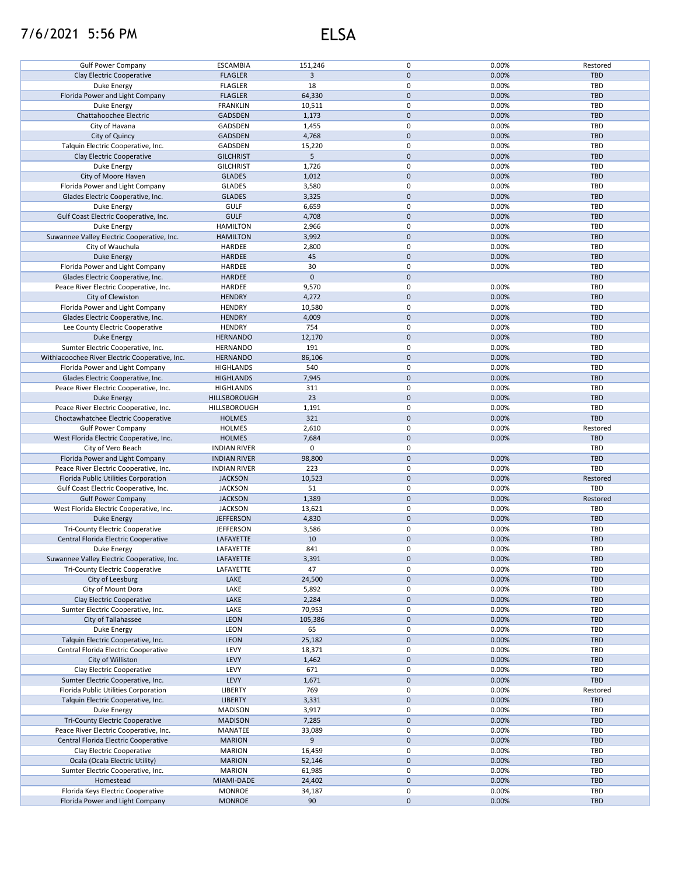## 7/6/2021 5:56 PM ELSA

|                                                | <b>ESCAMBIA</b>     | 151,246      | 0            | 0.00% | Restored   |
|------------------------------------------------|---------------------|--------------|--------------|-------|------------|
| <b>Gulf Power Company</b>                      |                     |              |              |       |            |
| Clay Electric Cooperative                      | <b>FLAGLER</b>      | 3            | $\mathbf{0}$ | 0.00% | <b>TBD</b> |
| Duke Energy                                    | <b>FLAGLER</b>      | 18           | 0            | 0.00% | TBD        |
| Florida Power and Light Company                | <b>FLAGLER</b>      | 64,330       | $\pmb{0}$    | 0.00% | <b>TBD</b> |
| Duke Energy                                    | <b>FRANKLIN</b>     | 10,511       | 0            | 0.00% | TBD        |
| Chattahoochee Electric                         | <b>GADSDEN</b>      | 1,173        | $\mathbf{0}$ | 0.00% | <b>TBD</b> |
| City of Havana                                 | GADSDEN             | 1,455        | 0            | 0.00% | TBD        |
|                                                |                     |              |              |       |            |
| City of Quincy                                 | <b>GADSDEN</b>      | 4,768        | $\pmb{0}$    | 0.00% | <b>TBD</b> |
| Talquin Electric Cooperative, Inc.             | GADSDEN             | 15,220       | 0            | 0.00% | TBD        |
| Clay Electric Cooperative                      | <b>GILCHRIST</b>    | 5            | $\pmb{0}$    | 0.00% | <b>TBD</b> |
| Duke Energy                                    | <b>GILCHRIST</b>    | 1,726        | $\pmb{0}$    | 0.00% | TBD        |
| City of Moore Haven                            | <b>GLADES</b>       | 1,012        | $\mathbf 0$  | 0.00% | <b>TBD</b> |
| Florida Power and Light Company                | <b>GLADES</b>       | 3,580        | 0            | 0.00% | TBD        |
| Glades Electric Cooperative, Inc.              | <b>GLADES</b>       | 3,325        | $\mathbf 0$  | 0.00% | <b>TBD</b> |
|                                                |                     |              |              |       |            |
| Duke Energy                                    | <b>GULF</b>         | 6,659        | 0            | 0.00% | TBD        |
| Gulf Coast Electric Cooperative, Inc.          | <b>GULF</b>         | 4,708        | $\pmb{0}$    | 0.00% | <b>TBD</b> |
| Duke Energy                                    | <b>HAMILTON</b>     | 2,966        | 0            | 0.00% | TBD        |
| Suwannee Valley Electric Cooperative, Inc.     | <b>HAMILTON</b>     | 3,992        | $\pmb{0}$    | 0.00% | <b>TBD</b> |
| City of Wauchula                               | HARDEE              | 2,800        | $\pmb{0}$    | 0.00% | <b>TBD</b> |
| <b>Duke Energy</b>                             | HARDEE              | 45           | $\pmb{0}$    | 0.00% | <b>TBD</b> |
| Florida Power and Light Company                | HARDEE              | 30           | 0            | 0.00% | TBD        |
|                                                |                     |              |              |       |            |
| Glades Electric Cooperative, Inc.              | HARDEE              | $\mathbf{0}$ | $\pmb{0}$    |       | <b>TBD</b> |
| Peace River Electric Cooperative, Inc.         | HARDEE              | 9,570        | 0            | 0.00% | TBD        |
| City of Clewiston                              | <b>HENDRY</b>       | 4,272        | $\pmb{0}$    | 0.00% | <b>TBD</b> |
| Florida Power and Light Company                | <b>HENDRY</b>       | 10,580       | 0            | 0.00% | <b>TBD</b> |
| Glades Electric Cooperative, Inc.              | <b>HENDRY</b>       | 4,009        | $\pmb{0}$    | 0.00% | <b>TBD</b> |
| Lee County Electric Cooperative                | <b>HENDRY</b>       | 754          | 0            | 0.00% | TBD        |
| Duke Energy                                    | <b>HERNANDO</b>     | 12,170       | $\pmb{0}$    | 0.00% | <b>TBD</b> |
| Sumter Electric Cooperative, Inc.              | <b>HERNANDO</b>     | 191          | $\mathbf 0$  | 0.00% | TBD        |
|                                                |                     |              |              |       |            |
| Withlacoochee River Electric Cooperative, Inc. | <b>HERNANDO</b>     | 86,106       | $\pmb{0}$    | 0.00% | <b>TBD</b> |
| Florida Power and Light Company                | <b>HIGHLANDS</b>    | 540          | $\mathbf 0$  | 0.00% | <b>TBD</b> |
| Glades Electric Cooperative, Inc.              | <b>HIGHLANDS</b>    | 7,945        | $\pmb{0}$    | 0.00% | <b>TBD</b> |
| Peace River Electric Cooperative, Inc.         | <b>HIGHLANDS</b>    | 311          | 0            | 0.00% | TBD        |
| <b>Duke Energy</b>                             | HILLSBOROUGH        | 23           | $\mathbf 0$  | 0.00% | <b>TBD</b> |
| Peace River Electric Cooperative, Inc.         | HILLSBOROUGH        | 1,191        | 0            | 0.00% | TBD        |
| Choctawhatchee Electric Cooperative            | <b>HOLMES</b>       | 321          | $\mathbf 0$  | 0.00% | <b>TBD</b> |
|                                                |                     |              | 0            |       |            |
| <b>Gulf Power Company</b>                      | <b>HOLMES</b>       | 2,610        |              | 0.00% | Restored   |
| West Florida Electric Cooperative, Inc.        | <b>HOLMES</b>       | 7,684        | $\mathbf 0$  | 0.00% | <b>TBD</b> |
| City of Vero Beach                             |                     |              |              |       |            |
|                                                | <b>INDIAN RIVER</b> | 0            | 0            |       | TBD        |
| Florida Power and Light Company                | <b>INDIAN RIVER</b> | 98,800       | $\pmb{0}$    | 0.00% | <b>TBD</b> |
| Peace River Electric Cooperative, Inc.         | <b>INDIAN RIVER</b> | 223          | $\pmb{0}$    | 0.00% | <b>TBD</b> |
| Florida Public Utilities Corporation           | <b>JACKSON</b>      | 10,523       | $\pmb{0}$    | 0.00% | Restored   |
| Gulf Coast Electric Cooperative, Inc.          |                     |              |              |       | TBD        |
|                                                | <b>JACKSON</b>      | 51           | 0            | 0.00% |            |
| <b>Gulf Power Company</b>                      | <b>JACKSON</b>      | 1,389        | $\mathbf 0$  | 0.00% | Restored   |
| West Florida Electric Cooperative, Inc.        | <b>JACKSON</b>      | 13,621       | $\pmb{0}$    | 0.00% | <b>TBD</b> |
| <b>Duke Energy</b>                             | <b>JEFFERSON</b>    | 4,830        | $\pmb{0}$    | 0.00% | <b>TBD</b> |
| <b>Tri-County Electric Cooperative</b>         | <b>JEFFERSON</b>    | 3,586        | 0            | 0.00% | TBD        |
| Central Florida Electric Cooperative           | LAFAYETTE           | 10           | $\pmb{0}$    | 0.00% | <b>TBD</b> |
| Duke Energy                                    | LAFAYETTE           | 841          | $\mathbf 0$  | 0.00% | TBD        |
|                                                |                     |              |              |       |            |
| Suwannee Valley Electric Cooperative, Inc.     | LAFAYETTE           | 3,391        | $\mathbf 0$  | 0.00% | <b>TBD</b> |
| <b>Tri-County Electric Cooperative</b>         | LAFAYETTE           | 47           | 0            | 0.00% | TBD        |
| City of Leesburg                               | LAKE                | 24,500       | $\mathbf 0$  | 0.00% | <b>TBD</b> |
| City of Mount Dora                             | LAKE                | 5,892        | 0            | 0.00% | <b>TBD</b> |
| Clay Electric Cooperative                      | LAKE                | 2,284        | $\pmb{0}$    | 0.00% | <b>TBD</b> |
| Sumter Electric Cooperative, Inc.              | LAKE                | 70,953       | 0            | 0.00% | TBD        |
| City of Tallahassee                            | <b>LEON</b>         | 105,386      | $\pmb{0}$    | 0.00% | <b>TBD</b> |
| Duke Energy                                    | LEON                | 65           | 0            | 0.00% | TBD        |
|                                                |                     |              |              |       | <b>TBD</b> |
| Talquin Electric Cooperative, Inc.             | <b>LEON</b>         | 25,182       | $\pmb{0}$    | 0.00% |            |
| Central Florida Electric Cooperative           | LEVY                | 18,371       | 0            | 0.00% | TBD        |
| City of Williston                              | LEVY                | 1,462        | $\pmb{0}$    | 0.00% | TBD        |
| Clay Electric Cooperative                      | LEVY                | 671          | 0            | 0.00% | TBD        |
| Sumter Electric Cooperative, Inc.              | LEVY                | 1,671        | $\mathbf 0$  | 0.00% | <b>TBD</b> |
| Florida Public Utilities Corporation           | LIBERTY             | 769          | 0            | 0.00% | Restored   |
| Talquin Electric Cooperative, Inc.             | <b>LIBERTY</b>      | 3,331        | $\mathbf 0$  | 0.00% | TBD        |
| Duke Energy                                    | <b>MADISON</b>      | 3,917        | 0            | 0.00% | TBD        |
| <b>Tri-County Electric Cooperative</b>         | <b>MADISON</b>      | 7,285        | $\pmb{0}$    | 0.00% | <b>TBD</b> |
|                                                |                     |              |              |       |            |
| Peace River Electric Cooperative, Inc.         | MANATEE             | 33,089       | 0            | 0.00% | <b>TBD</b> |
| Central Florida Electric Cooperative           | <b>MARION</b>       | 9            | $\pmb{0}$    | 0.00% | <b>TBD</b> |
| Clay Electric Cooperative                      | <b>MARION</b>       | 16,459       | 0            | 0.00% | TBD        |
| Ocala (Ocala Electric Utility)                 | <b>MARION</b>       | 52,146       | $\pmb{0}$    | 0.00% | <b>TBD</b> |
| Sumter Electric Cooperative, Inc.              | <b>MARION</b>       | 61,985       | 0            | 0.00% | TBD        |
| Homestead                                      | MIAMI-DADE          | 24,402       | $\pmb{0}$    | 0.00% | <b>TBD</b> |
| Florida Keys Electric Cooperative              | <b>MONROE</b>       | 34,187       | 0            | 0.00% | TBD        |
| Florida Power and Light Company                | <b>MONROE</b>       | 90           | $\pmb{0}$    | 0.00% | TBD        |